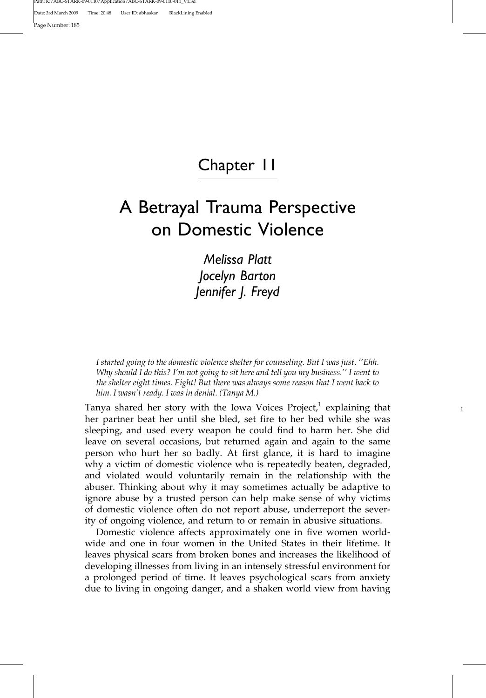## Chapter 11

# A Betrayal Trauma Perspective on Domestic Violence

*Melissa Platt Jocelyn Barton Jennifer J. Freyd*

I started going to the domestic violence shelter for counseling. But I was just, ''Ehh. Why should I do this? I'm not going to sit here and tell you my business.'' I went to the shelter eight times. Eight! But there was always some reason that I went back to him. I wasn't ready. I was in denial. (Tanya M.)

Tanya shared her story with the Iowa Voices Project, $1$  explaining that her partner beat her until she bled, set fire to her bed while she was sleeping, and used every weapon he could find to harm her. She did leave on several occasions, but returned again and again to the same person who hurt her so badly. At first glance, it is hard to imagine why a victim of domestic violence who is repeatedly beaten, degraded, and violated would voluntarily remain in the relationship with the abuser. Thinking about why it may sometimes actually be adaptive to ignore abuse by a trusted person can help make sense of why victims of domestic violence often do not report abuse, underreport the severity of ongoing violence, and return to or remain in abusive situations.

Domestic violence affects approximately one in five women worldwide and one in four women in the United States in their lifetime. It leaves physical scars from broken bones and increases the likelihood of developing illnesses from living in an intensely stressful environment for a prolonged period of time. It leaves psychological scars from anxiety due to living in ongoing danger, and a shaken world view from having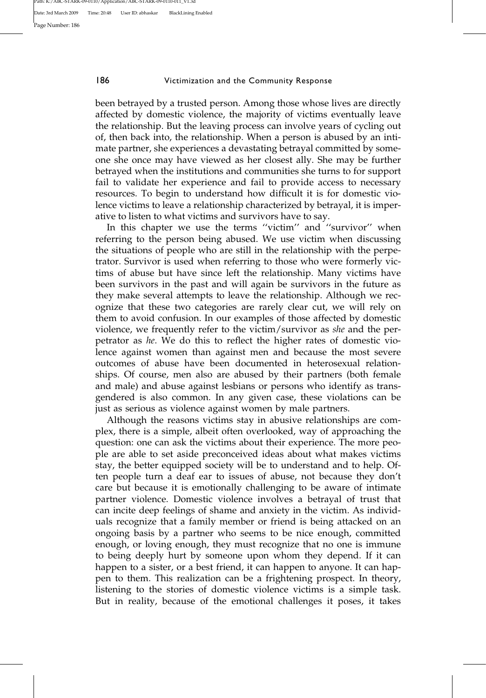Page Number: 186

#### 186 Victimization and the Community Response

been betrayed by a trusted person. Among those whose lives are directly affected by domestic violence, the majority of victims eventually leave the relationship. But the leaving process can involve years of cycling out of, then back into, the relationship. When a person is abused by an intimate partner, she experiences a devastating betrayal committed by someone she once may have viewed as her closest ally. She may be further betrayed when the institutions and communities she turns to for support fail to validate her experience and fail to provide access to necessary resources. To begin to understand how difficult it is for domestic violence victims to leave a relationship characterized by betrayal, it is imperative to listen to what victims and survivors have to say.

In this chapter we use the terms ''victim'' and ''survivor'' when referring to the person being abused. We use victim when discussing the situations of people who are still in the relationship with the perpetrator. Survivor is used when referring to those who were formerly victims of abuse but have since left the relationship. Many victims have been survivors in the past and will again be survivors in the future as they make several attempts to leave the relationship. Although we recognize that these two categories are rarely clear cut, we will rely on them to avoid confusion. In our examples of those affected by domestic violence, we frequently refer to the victim/survivor as she and the perpetrator as he. We do this to reflect the higher rates of domestic violence against women than against men and because the most severe outcomes of abuse have been documented in heterosexual relationships. Of course, men also are abused by their partners (both female and male) and abuse against lesbians or persons who identify as transgendered is also common. In any given case, these violations can be just as serious as violence against women by male partners.

Although the reasons victims stay in abusive relationships are complex, there is a simple, albeit often overlooked, way of approaching the question: one can ask the victims about their experience. The more people are able to set aside preconceived ideas about what makes victims stay, the better equipped society will be to understand and to help. Often people turn a deaf ear to issues of abuse, not because they don't care but because it is emotionally challenging to be aware of intimate partner violence. Domestic violence involves a betrayal of trust that can incite deep feelings of shame and anxiety in the victim. As individuals recognize that a family member or friend is being attacked on an ongoing basis by a partner who seems to be nice enough, committed enough, or loving enough, they must recognize that no one is immune to being deeply hurt by someone upon whom they depend. If it can happen to a sister, or a best friend, it can happen to anyone. It can happen to them. This realization can be a frightening prospect. In theory, listening to the stories of domestic violence victims is a simple task. But in reality, because of the emotional challenges it poses, it takes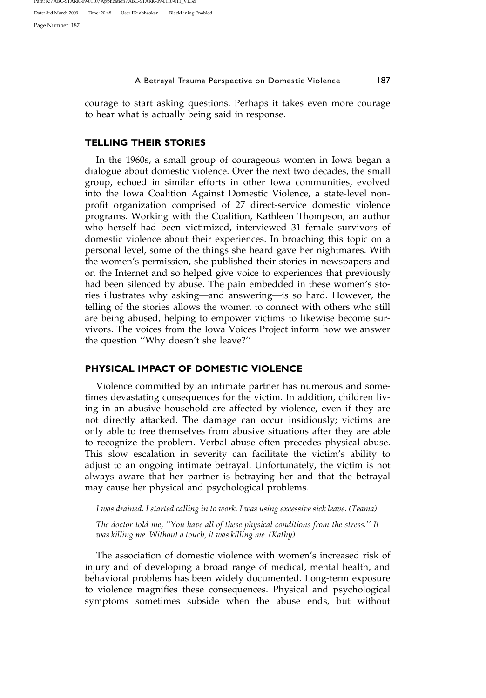Path: K:/ABC-STARK-09-0110/Application/ABC-STARK-09-0110-011\_V1.3d Date: 3rd March 2009 Time: 20:48 User ID: abhaskar BlackLining Enabled Page Number: 187

> courage to start asking questions. Perhaps it takes even more courage to hear what is actually being said in response.

## **TELLING THEIR STORIES**

In the 1960s, a small group of courageous women in Iowa began a dialogue about domestic violence. Over the next two decades, the small group, echoed in similar efforts in other Iowa communities, evolved into the Iowa Coalition Against Domestic Violence, a state-level nonprofit organization comprised of 27 direct-service domestic violence programs. Working with the Coalition, Kathleen Thompson, an author who herself had been victimized, interviewed 31 female survivors of domestic violence about their experiences. In broaching this topic on a personal level, some of the things she heard gave her nightmares. With the women's permission, she published their stories in newspapers and on the Internet and so helped give voice to experiences that previously had been silenced by abuse. The pain embedded in these women's stories illustrates why asking—and answering—is so hard. However, the telling of the stories allows the women to connect with others who still are being abused, helping to empower victims to likewise become survivors. The voices from the Iowa Voices Project inform how we answer the question ''Why doesn't she leave?''

## **PHYSICAL IMPACT OF DOMESTIC VIOLENCE**

Violence committed by an intimate partner has numerous and sometimes devastating consequences for the victim. In addition, children living in an abusive household are affected by violence, even if they are not directly attacked. The damage can occur insidiously; victims are only able to free themselves from abusive situations after they are able to recognize the problem. Verbal abuse often precedes physical abuse. This slow escalation in severity can facilitate the victim's ability to adjust to an ongoing intimate betrayal. Unfortunately, the victim is not always aware that her partner is betraying her and that the betrayal may cause her physical and psychological problems.

I was drained. I started calling in to work. I was using excessive sick leave. (Teama)

The doctor told me, ''You have all of these physical conditions from the stress.'' It was killing me. Without a touch, it was killing me. (Kathy)

The association of domestic violence with women's increased risk of injury and of developing a broad range of medical, mental health, and behavioral problems has been widely documented. Long-term exposure to violence magnifies these consequences. Physical and psychological symptoms sometimes subside when the abuse ends, but without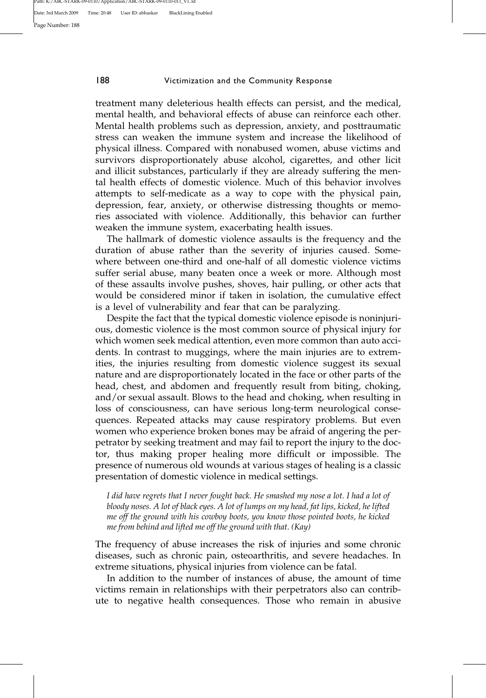Page Number: 188

#### 188 Victimization and the Community Response

treatment many deleterious health effects can persist, and the medical, mental health, and behavioral effects of abuse can reinforce each other. Mental health problems such as depression, anxiety, and posttraumatic stress can weaken the immune system and increase the likelihood of physical illness. Compared with nonabused women, abuse victims and survivors disproportionately abuse alcohol, cigarettes, and other licit and illicit substances, particularly if they are already suffering the mental health effects of domestic violence. Much of this behavior involves attempts to self-medicate as a way to cope with the physical pain, depression, fear, anxiety, or otherwise distressing thoughts or memories associated with violence. Additionally, this behavior can further weaken the immune system, exacerbating health issues.

The hallmark of domestic violence assaults is the frequency and the duration of abuse rather than the severity of injuries caused. Somewhere between one-third and one-half of all domestic violence victims suffer serial abuse, many beaten once a week or more. Although most of these assaults involve pushes, shoves, hair pulling, or other acts that would be considered minor if taken in isolation, the cumulative effect is a level of vulnerability and fear that can be paralyzing.

Despite the fact that the typical domestic violence episode is noninjurious, domestic violence is the most common source of physical injury for which women seek medical attention, even more common than auto accidents. In contrast to muggings, where the main injuries are to extremities, the injuries resulting from domestic violence suggest its sexual nature and are disproportionately located in the face or other parts of the head, chest, and abdomen and frequently result from biting, choking, and/or sexual assault. Blows to the head and choking, when resulting in loss of consciousness, can have serious long-term neurological consequences. Repeated attacks may cause respiratory problems. But even women who experience broken bones may be afraid of angering the perpetrator by seeking treatment and may fail to report the injury to the doctor, thus making proper healing more difficult or impossible. The presence of numerous old wounds at various stages of healing is a classic presentation of domestic violence in medical settings.

I did have regrets that I never fought back. He smashed my nose a lot. I had a lot of bloody noses. A lot of black eyes. A lot of lumps on my head, fat lips, kicked, he lifted me off the ground with his cowboy boots, you know those pointed boots, he kicked me from behind and lifted me off the ground with that. (Kay)

The frequency of abuse increases the risk of injuries and some chronic diseases, such as chronic pain, osteoarthritis, and severe headaches. In extreme situations, physical injuries from violence can be fatal.

In addition to the number of instances of abuse, the amount of time victims remain in relationships with their perpetrators also can contribute to negative health consequences. Those who remain in abusive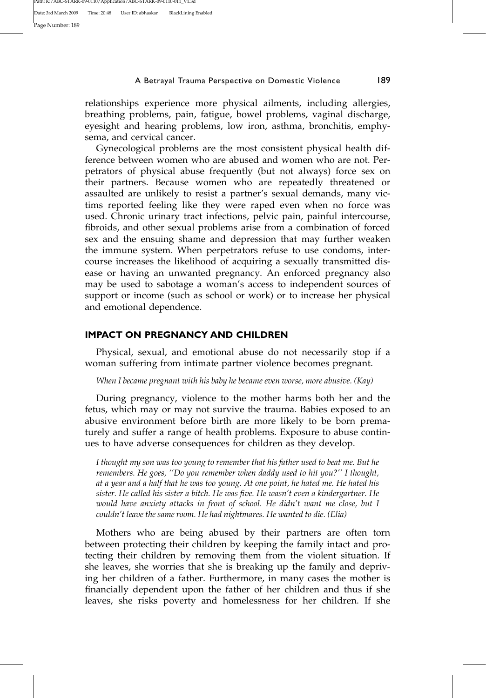Path: K:/ABC-STARK-09-0110/Application/ABC-STARK-09-0110-011\_V1.3d Date: 3rd March 2009 Time: 20:48 User ID: abhaskar BlackLining Enabled Page Number: 189

> relationships experience more physical ailments, including allergies, breathing problems, pain, fatigue, bowel problems, vaginal discharge, eyesight and hearing problems, low iron, asthma, bronchitis, emphysema, and cervical cancer.

> Gynecological problems are the most consistent physical health difference between women who are abused and women who are not. Perpetrators of physical abuse frequently (but not always) force sex on their partners. Because women who are repeatedly threatened or assaulted are unlikely to resist a partner's sexual demands, many victims reported feeling like they were raped even when no force was used. Chronic urinary tract infections, pelvic pain, painful intercourse, fibroids, and other sexual problems arise from a combination of forced sex and the ensuing shame and depression that may further weaken the immune system. When perpetrators refuse to use condoms, intercourse increases the likelihood of acquiring a sexually transmitted disease or having an unwanted pregnancy. An enforced pregnancy also may be used to sabotage a woman's access to independent sources of support or income (such as school or work) or to increase her physical and emotional dependence.

## **IMPACT ON PREGNANCY AND CHILDREN**

Physical, sexual, and emotional abuse do not necessarily stop if a woman suffering from intimate partner violence becomes pregnant.

When I became pregnant with his baby he became even worse, more abusive. (Kay)

During pregnancy, violence to the mother harms both her and the fetus, which may or may not survive the trauma. Babies exposed to an abusive environment before birth are more likely to be born prematurely and suffer a range of health problems. Exposure to abuse continues to have adverse consequences for children as they develop.

I thought my son was too young to remember that his father used to beat me. But he remembers. He goes, ''Do you remember when daddy used to hit you?'' I thought, at a year and a half that he was too young. At one point, he hated me. He hated his sister. He called his sister a bitch. He was five. He wasn't even a kindergartner. He would have anxiety attacks in front of school. He didn't want me close, but I couldn't leave the same room. He had nightmares. He wanted to die. (Elia)

Mothers who are being abused by their partners are often torn between protecting their children by keeping the family intact and protecting their children by removing them from the violent situation. If she leaves, she worries that she is breaking up the family and depriving her children of a father. Furthermore, in many cases the mother is financially dependent upon the father of her children and thus if she leaves, she risks poverty and homelessness for her children. If she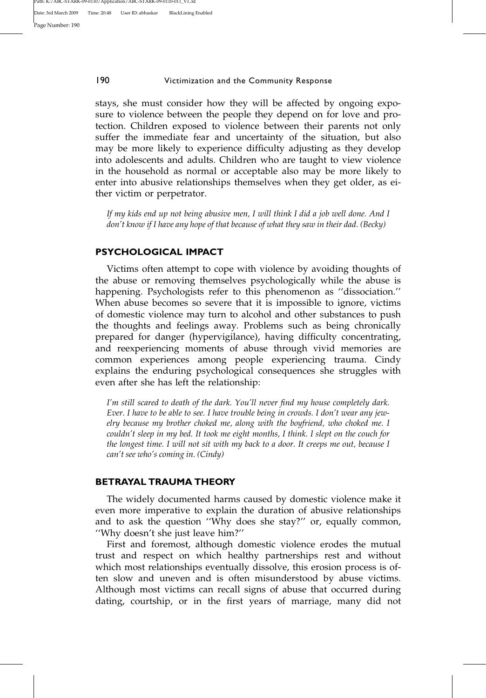## 190 Victimization and the Community Response

stays, she must consider how they will be affected by ongoing exposure to violence between the people they depend on for love and protection. Children exposed to violence between their parents not only suffer the immediate fear and uncertainty of the situation, but also may be more likely to experience difficulty adjusting as they develop into adolescents and adults. Children who are taught to view violence in the household as normal or acceptable also may be more likely to enter into abusive relationships themselves when they get older, as either victim or perpetrator.

If my kids end up not being abusive men, I will think I did a job well done. And I don't know if I have any hope of that because of what they saw in their dad. (Becky)

## **PSYCHOLOGICAL IMPACT**

Victims often attempt to cope with violence by avoiding thoughts of the abuse or removing themselves psychologically while the abuse is happening. Psychologists refer to this phenomenon as ''dissociation.'' When abuse becomes so severe that it is impossible to ignore, victims of domestic violence may turn to alcohol and other substances to push the thoughts and feelings away. Problems such as being chronically prepared for danger (hypervigilance), having difficulty concentrating, and reexperiencing moments of abuse through vivid memories are common experiences among people experiencing trauma. Cindy explains the enduring psychological consequences she struggles with even after she has left the relationship:

I'm still scared to death of the dark. You'll never find my house completely dark. Ever. I have to be able to see. I have trouble being in crowds. I don't wear any jewelry because my brother choked me, along with the boyfriend, who choked me. I couldn't sleep in my bed. It took me eight months, I think. I slept on the couch for the longest time. I will not sit with my back to a door. It creeps me out, because I can't see who's coming in. (Cindy)

## **BETRAYAL TRAUMA THEORY**

The widely documented harms caused by domestic violence make it even more imperative to explain the duration of abusive relationships and to ask the question ''Why does she stay?'' or, equally common, ''Why doesn't she just leave him?''

First and foremost, although domestic violence erodes the mutual trust and respect on which healthy partnerships rest and without which most relationships eventually dissolve, this erosion process is often slow and uneven and is often misunderstood by abuse victims. Although most victims can recall signs of abuse that occurred during dating, courtship, or in the first years of marriage, many did not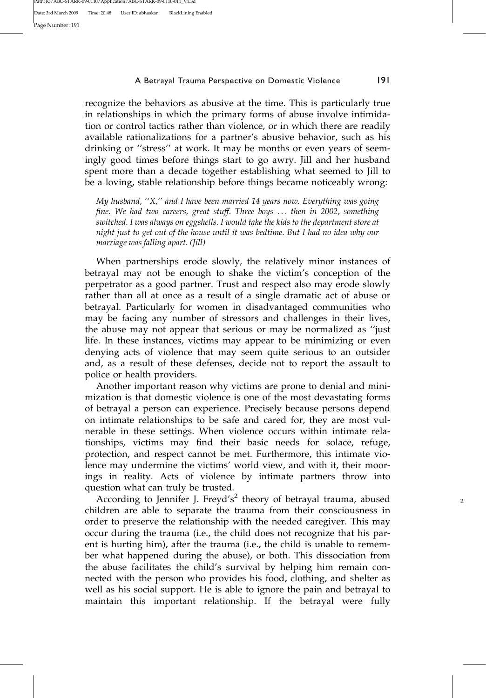Path: K:/ABC-STARK-09-0110/Application/ABC-STARK-09-0110-011\_V1.3d Date: 3rd March 2009 Time: 20:48 User ID: abhaskar BlackLining Enabled

Page Number: 191

recognize the behaviors as abusive at the time. This is particularly true in relationships in which the primary forms of abuse involve intimidation or control tactics rather than violence, or in which there are readily available rationalizations for a partner's abusive behavior, such as his drinking or ''stress'' at work. It may be months or even years of seemingly good times before things start to go awry. Jill and her husband spent more than a decade together establishing what seemed to Jill to be a loving, stable relationship before things became noticeably wrong:

My husband, ''X,'' and I have been married 14 years now. Everything was going fine. We had two careers, great stuff. Three boys ... then in 2002, something switched. I was always on eggshells. I would take the kids to the department store at night just to get out of the house until it was bedtime. But I had no idea why our marriage was falling apart. (Jill)

When partnerships erode slowly, the relatively minor instances of betrayal may not be enough to shake the victim's conception of the perpetrator as a good partner. Trust and respect also may erode slowly rather than all at once as a result of a single dramatic act of abuse or betrayal. Particularly for women in disadvantaged communities who may be facing any number of stressors and challenges in their lives, the abuse may not appear that serious or may be normalized as ''just life. In these instances, victims may appear to be minimizing or even denying acts of violence that may seem quite serious to an outsider and, as a result of these defenses, decide not to report the assault to police or health providers.

Another important reason why victims are prone to denial and minimization is that domestic violence is one of the most devastating forms of betrayal a person can experience. Precisely because persons depend on intimate relationships to be safe and cared for, they are most vulnerable in these settings. When violence occurs within intimate relationships, victims may find their basic needs for solace, refuge, protection, and respect cannot be met. Furthermore, this intimate violence may undermine the victims' world view, and with it, their moorings in reality. Acts of violence by intimate partners throw into question what can truly be trusted.

According to Jennifer J. Freyd's<sup>2</sup> theory of betrayal trauma, abused  $\frac{2}{2}$ children are able to separate the trauma from their consciousness in order to preserve the relationship with the needed caregiver. This may occur during the trauma (i.e., the child does not recognize that his parent is hurting him), after the trauma (i.e., the child is unable to remember what happened during the abuse), or both. This dissociation from the abuse facilitates the child's survival by helping him remain connected with the person who provides his food, clothing, and shelter as well as his social support. He is able to ignore the pain and betrayal to maintain this important relationship. If the betrayal were fully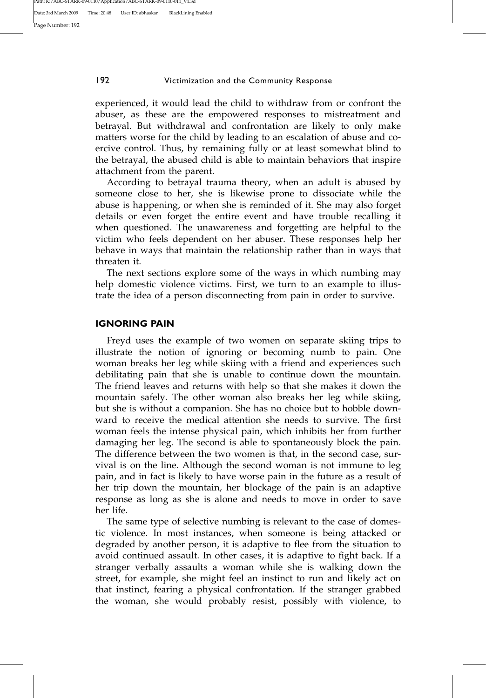## 192 Victimization and the Community Response

experienced, it would lead the child to withdraw from or confront the abuser, as these are the empowered responses to mistreatment and betrayal. But withdrawal and confrontation are likely to only make matters worse for the child by leading to an escalation of abuse and coercive control. Thus, by remaining fully or at least somewhat blind to the betrayal, the abused child is able to maintain behaviors that inspire attachment from the parent.

According to betrayal trauma theory, when an adult is abused by someone close to her, she is likewise prone to dissociate while the abuse is happening, or when she is reminded of it. She may also forget details or even forget the entire event and have trouble recalling it when questioned. The unawareness and forgetting are helpful to the victim who feels dependent on her abuser. These responses help her behave in ways that maintain the relationship rather than in ways that threaten it.

The next sections explore some of the ways in which numbing may help domestic violence victims. First, we turn to an example to illustrate the idea of a person disconnecting from pain in order to survive.

## **IGNORING PAIN**

Freyd uses the example of two women on separate skiing trips to illustrate the notion of ignoring or becoming numb to pain. One woman breaks her leg while skiing with a friend and experiences such debilitating pain that she is unable to continue down the mountain. The friend leaves and returns with help so that she makes it down the mountain safely. The other woman also breaks her leg while skiing, but she is without a companion. She has no choice but to hobble downward to receive the medical attention she needs to survive. The first woman feels the intense physical pain, which inhibits her from further damaging her leg. The second is able to spontaneously block the pain. The difference between the two women is that, in the second case, survival is on the line. Although the second woman is not immune to leg pain, and in fact is likely to have worse pain in the future as a result of her trip down the mountain, her blockage of the pain is an adaptive response as long as she is alone and needs to move in order to save her life.

The same type of selective numbing is relevant to the case of domestic violence. In most instances, when someone is being attacked or degraded by another person, it is adaptive to flee from the situation to avoid continued assault. In other cases, it is adaptive to fight back. If a stranger verbally assaults a woman while she is walking down the street, for example, she might feel an instinct to run and likely act on that instinct, fearing a physical confrontation. If the stranger grabbed the woman, she would probably resist, possibly with violence, to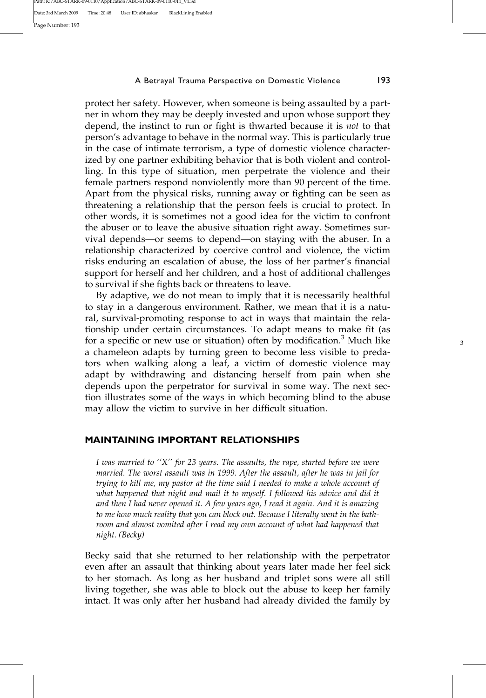protect her safety. However, when someone is being assaulted by a partner in whom they may be deeply invested and upon whose support they depend, the instinct to run or fight is thwarted because it is not to that person's advantage to behave in the normal way. This is particularly true in the case of intimate terrorism, a type of domestic violence characterized by one partner exhibiting behavior that is both violent and controlling. In this type of situation, men perpetrate the violence and their female partners respond nonviolently more than 90 percent of the time. Apart from the physical risks, running away or fighting can be seen as threatening a relationship that the person feels is crucial to protect. In other words, it is sometimes not a good idea for the victim to confront the abuser or to leave the abusive situation right away. Sometimes survival depends—or seems to depend—on staying with the abuser. In a relationship characterized by coercive control and violence, the victim risks enduring an escalation of abuse, the loss of her partner's financial support for herself and her children, and a host of additional challenges to survival if she fights back or threatens to leave.

By adaptive, we do not mean to imply that it is necessarily healthful to stay in a dangerous environment. Rather, we mean that it is a natural, survival-promoting response to act in ways that maintain the relationship under certain circumstances. To adapt means to make fit (as for a specific or new use or situation) often by modification.<sup>3</sup> Much like  $\frac{3}{3}$ a chameleon adapts by turning green to become less visible to predators when walking along a leaf, a victim of domestic violence may adapt by withdrawing and distancing herself from pain when she depends upon the perpetrator for survival in some way. The next section illustrates some of the ways in which becoming blind to the abuse may allow the victim to survive in her difficult situation.

#### **MAINTAINING IMPORTANT RELATIONSHIPS**

I was married to ''X'' for 23 years. The assaults, the rape, started before we were married. The worst assault was in 1999. After the assault, after he was in jail for trying to kill me, my pastor at the time said I needed to make a whole account of what happened that night and mail it to myself. I followed his advice and did it and then I had never opened it. A few years ago, I read it again. And it is amazing to me how much reality that you can block out. Because I literally went in the bathroom and almost vomited after I read my own account of what had happened that night. (Becky)

Becky said that she returned to her relationship with the perpetrator even after an assault that thinking about years later made her feel sick to her stomach. As long as her husband and triplet sons were all still living together, she was able to block out the abuse to keep her family intact. It was only after her husband had already divided the family by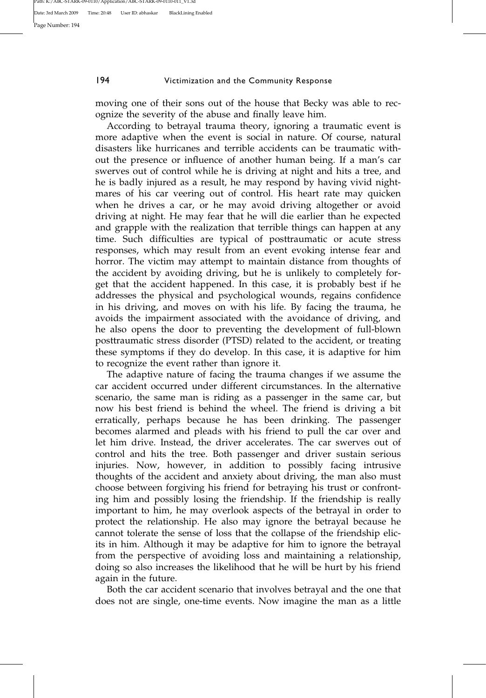Page Number: 194

## 194 Victimization and the Community Response

moving one of their sons out of the house that Becky was able to recognize the severity of the abuse and finally leave him.

According to betrayal trauma theory, ignoring a traumatic event is more adaptive when the event is social in nature. Of course, natural disasters like hurricanes and terrible accidents can be traumatic without the presence or influence of another human being. If a man's car swerves out of control while he is driving at night and hits a tree, and he is badly injured as a result, he may respond by having vivid nightmares of his car veering out of control. His heart rate may quicken when he drives a car, or he may avoid driving altogether or avoid driving at night. He may fear that he will die earlier than he expected and grapple with the realization that terrible things can happen at any time. Such difficulties are typical of posttraumatic or acute stress responses, which may result from an event evoking intense fear and horror. The victim may attempt to maintain distance from thoughts of the accident by avoiding driving, but he is unlikely to completely forget that the accident happened. In this case, it is probably best if he addresses the physical and psychological wounds, regains confidence in his driving, and moves on with his life. By facing the trauma, he avoids the impairment associated with the avoidance of driving, and he also opens the door to preventing the development of full-blown posttraumatic stress disorder (PTSD) related to the accident, or treating these symptoms if they do develop. In this case, it is adaptive for him to recognize the event rather than ignore it.

The adaptive nature of facing the trauma changes if we assume the car accident occurred under different circumstances. In the alternative scenario, the same man is riding as a passenger in the same car, but now his best friend is behind the wheel. The friend is driving a bit erratically, perhaps because he has been drinking. The passenger becomes alarmed and pleads with his friend to pull the car over and let him drive. Instead, the driver accelerates. The car swerves out of control and hits the tree. Both passenger and driver sustain serious injuries. Now, however, in addition to possibly facing intrusive thoughts of the accident and anxiety about driving, the man also must choose between forgiving his friend for betraying his trust or confronting him and possibly losing the friendship. If the friendship is really important to him, he may overlook aspects of the betrayal in order to protect the relationship. He also may ignore the betrayal because he cannot tolerate the sense of loss that the collapse of the friendship elicits in him. Although it may be adaptive for him to ignore the betrayal from the perspective of avoiding loss and maintaining a relationship, doing so also increases the likelihood that he will be hurt by his friend again in the future.

Both the car accident scenario that involves betrayal and the one that does not are single, one-time events. Now imagine the man as a little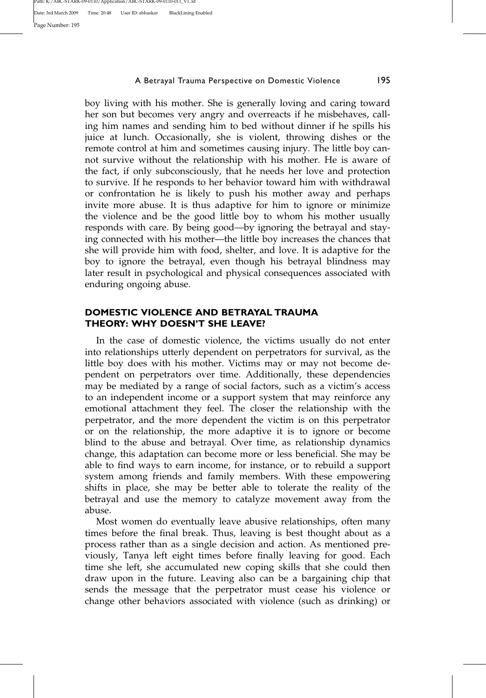boy living with his mother. She is generally loving and caring toward her son but becomes very angry and overreacts if he misbehaves, calling him names and sending him to bed without dinner if he spills his juice at lunch. Occasionally, she is violent, throwing dishes or the remote control at him and sometimes causing injury. The little boy cannot survive without the relationship with his mother. He is aware of the fact, if only subconsciously, that he needs her love and protection to survive. If he responds to her behavior toward him with withdrawal or confrontation he is likely to push his mother away and perhaps invite more abuse. It is thus adaptive for him to ignore or minimize the violence and be the good little boy to whom his mother usually responds with care. By being good—by ignoring the betrayal and staying connected with his mother—the little boy increases the chances that she will provide him with food, shelter, and love. It is adaptive for the boy to ignore the betrayal, even though his betrayal blindness may later result in psychological and physical consequences associated with enduring ongoing abuse.

## **DOMESTIC VIOLENCE AND BETRAYAL TRAUMA THEORY: WHY DOESN'T SHE LEAVE?**

In the case of domestic violence, the victims usually do not enter into relationships utterly dependent on perpetrators for survival, as the little boy does with his mother. Victims may or may not become dependent on perpetrators over time. Additionally, these dependencies may be mediated by a range of social factors, such as a victim's access to an independent income or a support system that may reinforce any emotional attachment they feel. The closer the relationship with the perpetrator, and the more dependent the victim is on this perpetrator or on the relationship, the more adaptive it is to ignore or become blind to the abuse and betrayal. Over time, as relationship dynamics change, this adaptation can become more or less beneficial. She may be able to find ways to earn income, for instance, or to rebuild a support system among friends and family members. With these empowering shifts in place, she may be better able to tolerate the reality of the betrayal and use the memory to catalyze movement away from the abuse.

Most women do eventually leave abusive relationships, often many times before the final break. Thus, leaving is best thought about as a process rather than as a single decision and action. As mentioned previously, Tanya left eight times before finally leaving for good. Each time she left, she accumulated new coping skills that she could then draw upon in the future. Leaving also can be a bargaining chip that sends the message that the perpetrator must cease his violence or change other behaviors associated with violence (such as drinking) or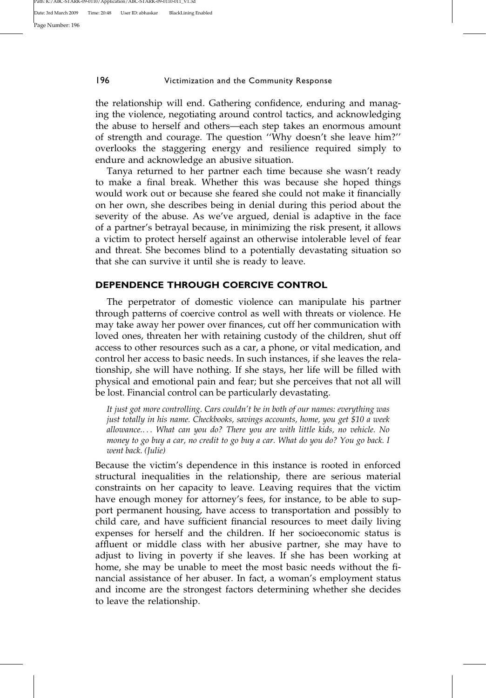## Page Number: 196

## 196 Victimization and the Community Response

the relationship will end. Gathering confidence, enduring and managing the violence, negotiating around control tactics, and acknowledging the abuse to herself and others—each step takes an enormous amount of strength and courage. The question ''Why doesn't she leave him?'' overlooks the staggering energy and resilience required simply to endure and acknowledge an abusive situation.

Tanya returned to her partner each time because she wasn't ready to make a final break. Whether this was because she hoped things would work out or because she feared she could not make it financially on her own, she describes being in denial during this period about the severity of the abuse. As we've argued, denial is adaptive in the face of a partner's betrayal because, in minimizing the risk present, it allows a victim to protect herself against an otherwise intolerable level of fear and threat. She becomes blind to a potentially devastating situation so that she can survive it until she is ready to leave.

#### **DEPENDENCE THROUGH COERCIVE CONTROL**

The perpetrator of domestic violence can manipulate his partner through patterns of coercive control as well with threats or violence. He may take away her power over finances, cut off her communication with loved ones, threaten her with retaining custody of the children, shut off access to other resources such as a car, a phone, or vital medication, and control her access to basic needs. In such instances, if she leaves the relationship, she will have nothing. If she stays, her life will be filled with physical and emotional pain and fear; but she perceives that not all will be lost. Financial control can be particularly devastating.

It just got more controlling. Cars couldn't be in both of our names: everything was just totally in his name. Checkbooks, savings accounts, home, you get \$10 a week allowance.... What can you do? There you are with little kids, no vehicle. No money to go buy a car, no credit to go buy a car. What do you do? You go back. I went back. (Julie)

Because the victim's dependence in this instance is rooted in enforced structural inequalities in the relationship, there are serious material constraints on her capacity to leave. Leaving requires that the victim have enough money for attorney's fees, for instance, to be able to support permanent housing, have access to transportation and possibly to child care, and have sufficient financial resources to meet daily living expenses for herself and the children. If her socioeconomic status is affluent or middle class with her abusive partner, she may have to adjust to living in poverty if she leaves. If she has been working at home, she may be unable to meet the most basic needs without the financial assistance of her abuser. In fact, a woman's employment status and income are the strongest factors determining whether she decides to leave the relationship.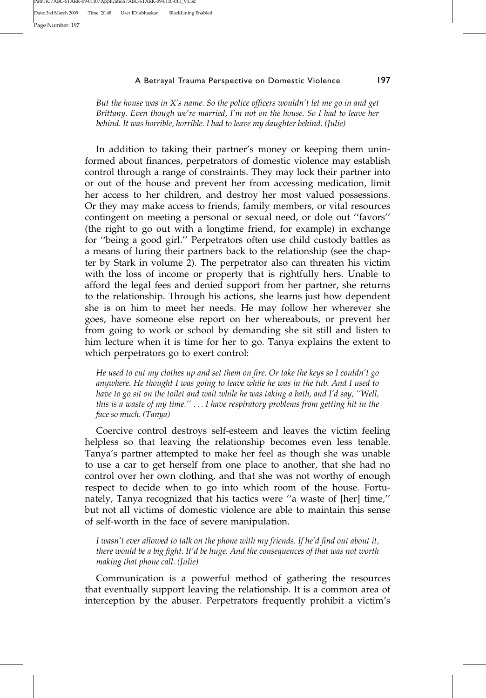Path: K:/ABC-STARK-09-0110/Application/ABC-STARK-09-0110-011\_V1.3d Date: 3rd March 2009 Time: 20:48 User ID: abhaskar BlackLining Enabled Page Number: 197

> But the house was in X's name. So the police officers wouldn't let me go in and get Brittany. Even though we're married, I'm not on the house. So I had to leave her behind. It was horrible, horrible. I had to leave my daughter behind. (Julie)

In addition to taking their partner's money or keeping them uninformed about finances, perpetrators of domestic violence may establish control through a range of constraints. They may lock their partner into or out of the house and prevent her from accessing medication, limit her access to her children, and destroy her most valued possessions. Or they may make access to friends, family members, or vital resources contingent on meeting a personal or sexual need, or dole out ''favors'' (the right to go out with a longtime friend, for example) in exchange for ''being a good girl.'' Perpetrators often use child custody battles as a means of luring their partners back to the relationship (see the chapter by Stark in volume 2). The perpetrator also can threaten his victim with the loss of income or property that is rightfully hers. Unable to afford the legal fees and denied support from her partner, she returns to the relationship. Through his actions, she learns just how dependent she is on him to meet her needs. He may follow her wherever she goes, have someone else report on her whereabouts, or prevent her from going to work or school by demanding she sit still and listen to him lecture when it is time for her to go. Tanya explains the extent to which perpetrators go to exert control:

He used to cut my clothes up and set them on fire. Or take the keys so I couldn't go anywhere. He thought I was going to leave while he was in the tub. And I used to have to go sit on the toilet and wait while he was taking a bath, and I'd say, ''Well, this is a waste of my time.'' ... I have respiratory problems from getting hit in the face so much. (Tanya)

Coercive control destroys self-esteem and leaves the victim feeling helpless so that leaving the relationship becomes even less tenable. Tanya's partner attempted to make her feel as though she was unable to use a car to get herself from one place to another, that she had no control over her own clothing, and that she was not worthy of enough respect to decide when to go into which room of the house. Fortunately, Tanya recognized that his tactics were ''a waste of [her] time,'' but not all victims of domestic violence are able to maintain this sense of self-worth in the face of severe manipulation.

I wasn't ever allowed to talk on the phone with my friends. If he'd find out about it, there would be a big fight. It'd be huge. And the consequences of that was not worth making that phone call. (Julie)

Communication is a powerful method of gathering the resources that eventually support leaving the relationship. It is a common area of interception by the abuser. Perpetrators frequently prohibit a victim's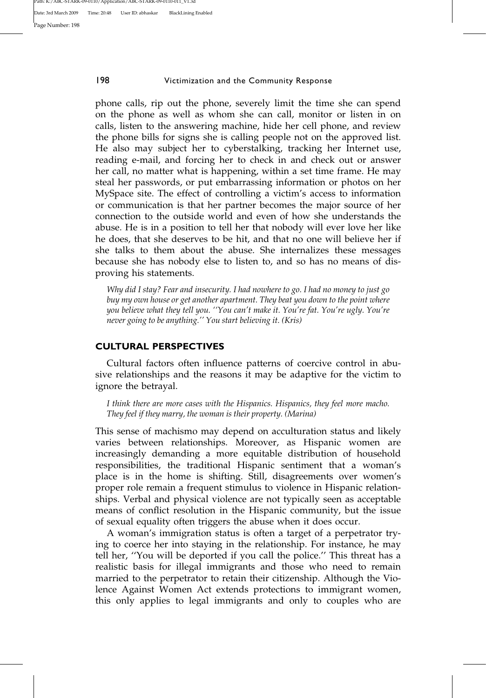## 198 Victimization and the Community Response

phone calls, rip out the phone, severely limit the time she can spend on the phone as well as whom she can call, monitor or listen in on calls, listen to the answering machine, hide her cell phone, and review the phone bills for signs she is calling people not on the approved list. He also may subject her to cyberstalking, tracking her Internet use, reading e-mail, and forcing her to check in and check out or answer her call, no matter what is happening, within a set time frame. He may steal her passwords, or put embarrassing information or photos on her MySpace site. The effect of controlling a victim's access to information or communication is that her partner becomes the major source of her connection to the outside world and even of how she understands the abuse. He is in a position to tell her that nobody will ever love her like he does, that she deserves to be hit, and that no one will believe her if she talks to them about the abuse. She internalizes these messages because she has nobody else to listen to, and so has no means of disproving his statements.

Why did I stay? Fear and insecurity. I had nowhere to go. I had no money to just go buy my own house or get another apartment. They beat you down to the point where you believe what they tell you. ''You can't make it. You're fat. You're ugly. You're never going to be anything.'' You start believing it. (Kris)

## **CULTURAL PERSPECTIVES**

Cultural factors often influence patterns of coercive control in abusive relationships and the reasons it may be adaptive for the victim to ignore the betrayal.

I think there are more cases with the Hispanics. Hispanics, they feel more macho. They feel if they marry, the woman is their property. (Marina)

This sense of machismo may depend on acculturation status and likely varies between relationships. Moreover, as Hispanic women are increasingly demanding a more equitable distribution of household responsibilities, the traditional Hispanic sentiment that a woman's place is in the home is shifting. Still, disagreements over women's proper role remain a frequent stimulus to violence in Hispanic relationships. Verbal and physical violence are not typically seen as acceptable means of conflict resolution in the Hispanic community, but the issue of sexual equality often triggers the abuse when it does occur.

A woman's immigration status is often a target of a perpetrator trying to coerce her into staying in the relationship. For instance, he may tell her, ''You will be deported if you call the police.'' This threat has a realistic basis for illegal immigrants and those who need to remain married to the perpetrator to retain their citizenship. Although the Violence Against Women Act extends protections to immigrant women, this only applies to legal immigrants and only to couples who are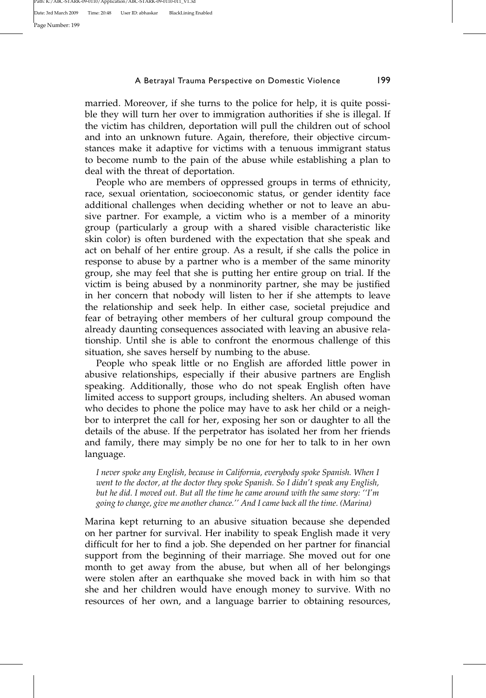married. Moreover, if she turns to the police for help, it is quite possible they will turn her over to immigration authorities if she is illegal. If the victim has children, deportation will pull the children out of school and into an unknown future. Again, therefore, their objective circumstances make it adaptive for victims with a tenuous immigrant status to become numb to the pain of the abuse while establishing a plan to deal with the threat of deportation.

People who are members of oppressed groups in terms of ethnicity, race, sexual orientation, socioeconomic status, or gender identity face additional challenges when deciding whether or not to leave an abusive partner. For example, a victim who is a member of a minority group (particularly a group with a shared visible characteristic like skin color) is often burdened with the expectation that she speak and act on behalf of her entire group. As a result, if she calls the police in response to abuse by a partner who is a member of the same minority group, she may feel that she is putting her entire group on trial. If the victim is being abused by a nonminority partner, she may be justified in her concern that nobody will listen to her if she attempts to leave the relationship and seek help. In either case, societal prejudice and fear of betraying other members of her cultural group compound the already daunting consequences associated with leaving an abusive relationship. Until she is able to confront the enormous challenge of this situation, she saves herself by numbing to the abuse.

People who speak little or no English are afforded little power in abusive relationships, especially if their abusive partners are English speaking. Additionally, those who do not speak English often have limited access to support groups, including shelters. An abused woman who decides to phone the police may have to ask her child or a neighbor to interpret the call for her, exposing her son or daughter to all the details of the abuse. If the perpetrator has isolated her from her friends and family, there may simply be no one for her to talk to in her own language.

I never spoke any English, because in California, everybody spoke Spanish. When I went to the doctor, at the doctor they spoke Spanish. So I didn't speak any English, but he did. I moved out. But all the time he came around with the same story: ''I'm going to change, give me another chance.'' And I came back all the time. (Marina)

Marina kept returning to an abusive situation because she depended on her partner for survival. Her inability to speak English made it very difficult for her to find a job. She depended on her partner for financial support from the beginning of their marriage. She moved out for one month to get away from the abuse, but when all of her belongings were stolen after an earthquake she moved back in with him so that she and her children would have enough money to survive. With no resources of her own, and a language barrier to obtaining resources,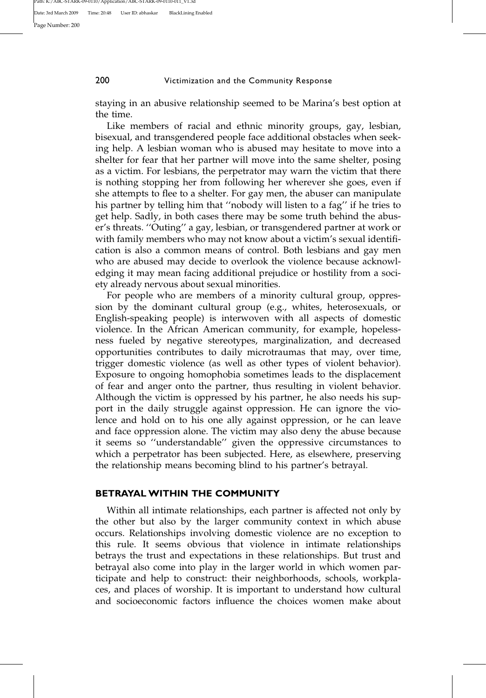Page Number: 200

#### 200 Victimization and the Community Response

staying in an abusive relationship seemed to be Marina's best option at the time.

Like members of racial and ethnic minority groups, gay, lesbian, bisexual, and transgendered people face additional obstacles when seeking help. A lesbian woman who is abused may hesitate to move into a shelter for fear that her partner will move into the same shelter, posing as a victim. For lesbians, the perpetrator may warn the victim that there is nothing stopping her from following her wherever she goes, even if she attempts to flee to a shelter. For gay men, the abuser can manipulate his partner by telling him that ''nobody will listen to a fag'' if he tries to get help. Sadly, in both cases there may be some truth behind the abuser's threats. ''Outing'' a gay, lesbian, or transgendered partner at work or with family members who may not know about a victim's sexual identification is also a common means of control. Both lesbians and gay men who are abused may decide to overlook the violence because acknowledging it may mean facing additional prejudice or hostility from a society already nervous about sexual minorities.

For people who are members of a minority cultural group, oppression by the dominant cultural group (e.g., whites, heterosexuals, or English-speaking people) is interwoven with all aspects of domestic violence. In the African American community, for example, hopelessness fueled by negative stereotypes, marginalization, and decreased opportunities contributes to daily microtraumas that may, over time, trigger domestic violence (as well as other types of violent behavior). Exposure to ongoing homophobia sometimes leads to the displacement of fear and anger onto the partner, thus resulting in violent behavior. Although the victim is oppressed by his partner, he also needs his support in the daily struggle against oppression. He can ignore the violence and hold on to his one ally against oppression, or he can leave and face oppression alone. The victim may also deny the abuse because it seems so ''understandable'' given the oppressive circumstances to which a perpetrator has been subjected. Here, as elsewhere, preserving the relationship means becoming blind to his partner's betrayal.

#### **BETRAYAL WITHIN THE COMMUNITY**

Within all intimate relationships, each partner is affected not only by the other but also by the larger community context in which abuse occurs. Relationships involving domestic violence are no exception to this rule. It seems obvious that violence in intimate relationships betrays the trust and expectations in these relationships. But trust and betrayal also come into play in the larger world in which women participate and help to construct: their neighborhoods, schools, workplaces, and places of worship. It is important to understand how cultural and socioeconomic factors influence the choices women make about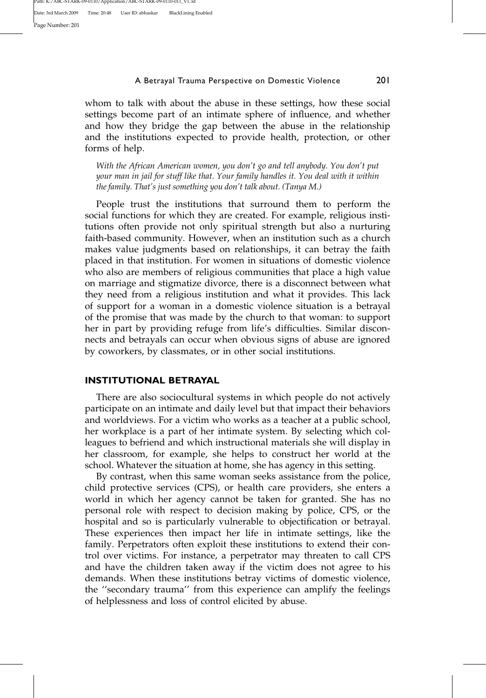Date: 3rd March 2009 Time: 20:48 User ID: abhaskar BlackLining Enabled Page Number: 201

Path: K:/ABC-STARK-09-0110/Application/ABC-STARK-09-0110-011\_V1.3d

whom to talk with about the abuse in these settings, how these social settings become part of an intimate sphere of influence, and whether and how they bridge the gap between the abuse in the relationship and the institutions expected to provide health, protection, or other forms of help.

With the African American women, you don't go and tell anybody. You don't put your man in jail for stuff like that. Your family handles it. You deal with it within the family. That's just something you don't talk about. (Tanya M.)

People trust the institutions that surround them to perform the social functions for which they are created. For example, religious institutions often provide not only spiritual strength but also a nurturing faith-based community. However, when an institution such as a church makes value judgments based on relationships, it can betray the faith placed in that institution. For women in situations of domestic violence who also are members of religious communities that place a high value on marriage and stigmatize divorce, there is a disconnect between what they need from a religious institution and what it provides. This lack of support for a woman in a domestic violence situation is a betrayal of the promise that was made by the church to that woman: to support her in part by providing refuge from life's difficulties. Similar disconnects and betrayals can occur when obvious signs of abuse are ignored by coworkers, by classmates, or in other social institutions.

## **INSTITUTIONAL BETRAYAL**

There are also sociocultural systems in which people do not actively participate on an intimate and daily level but that impact their behaviors and worldviews. For a victim who works as a teacher at a public school, her workplace is a part of her intimate system. By selecting which colleagues to befriend and which instructional materials she will display in her classroom, for example, she helps to construct her world at the school. Whatever the situation at home, she has agency in this setting.

By contrast, when this same woman seeks assistance from the police, child protective services (CPS), or health care providers, she enters a world in which her agency cannot be taken for granted. She has no personal role with respect to decision making by police, CPS, or the hospital and so is particularly vulnerable to objectification or betrayal. These experiences then impact her life in intimate settings, like the family. Perpetrators often exploit these institutions to extend their control over victims. For instance, a perpetrator may threaten to call CPS and have the children taken away if the victim does not agree to his demands. When these institutions betray victims of domestic violence, the ''secondary trauma'' from this experience can amplify the feelings of helplessness and loss of control elicited by abuse.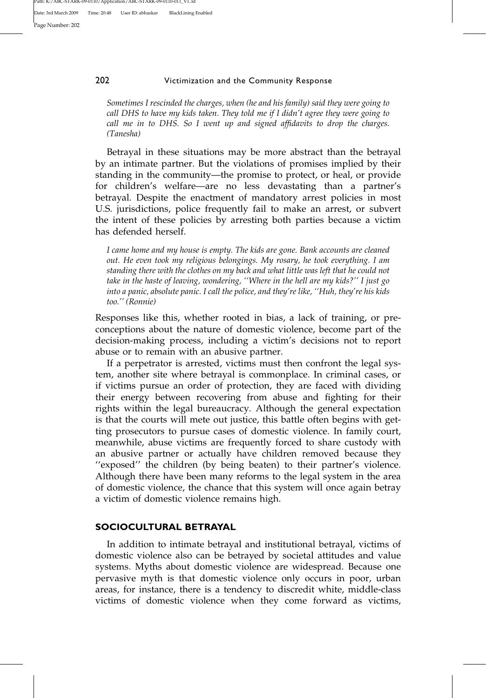Page Number: 202

## 202 Victimization and the Community Response

Sometimes I rescinded the charges, when (he and his family) said they were going to call DHS to have my kids taken. They told me if I didn't agree they were going to call me in to DHS. So I went up and signed affidavits to drop the charges. (Tanesha)

Betrayal in these situations may be more abstract than the betrayal by an intimate partner. But the violations of promises implied by their standing in the community—the promise to protect, or heal, or provide for children's welfare—are no less devastating than a partner's betrayal. Despite the enactment of mandatory arrest policies in most U.S. jurisdictions, police frequently fail to make an arrest, or subvert the intent of these policies by arresting both parties because a victim has defended herself.

I came home and my house is empty. The kids are gone. Bank accounts are cleaned out. He even took my religious belongings. My rosary, he took everything. I am standing there with the clothes on my back and what little was left that he could not take in the haste of leaving, wondering, ''Where in the hell are my kids?'' I just go into a panic, absolute panic. I call the police, and they're like, ''Huh, they're his kids too.'' (Ronnie)

Responses like this, whether rooted in bias, a lack of training, or preconceptions about the nature of domestic violence, become part of the decision-making process, including a victim's decisions not to report abuse or to remain with an abusive partner.

If a perpetrator is arrested, victims must then confront the legal system, another site where betrayal is commonplace. In criminal cases, or if victims pursue an order of protection, they are faced with dividing their energy between recovering from abuse and fighting for their rights within the legal bureaucracy. Although the general expectation is that the courts will mete out justice, this battle often begins with getting prosecutors to pursue cases of domestic violence. In family court, meanwhile, abuse victims are frequently forced to share custody with an abusive partner or actually have children removed because they "exposed" the children (by being beaten) to their partner's violence. Although there have been many reforms to the legal system in the area of domestic violence, the chance that this system will once again betray a victim of domestic violence remains high.

## **SOCIOCULTURAL BETRAYAL**

In addition to intimate betrayal and institutional betrayal, victims of domestic violence also can be betrayed by societal attitudes and value systems. Myths about domestic violence are widespread. Because one pervasive myth is that domestic violence only occurs in poor, urban areas, for instance, there is a tendency to discredit white, middle-class victims of domestic violence when they come forward as victims,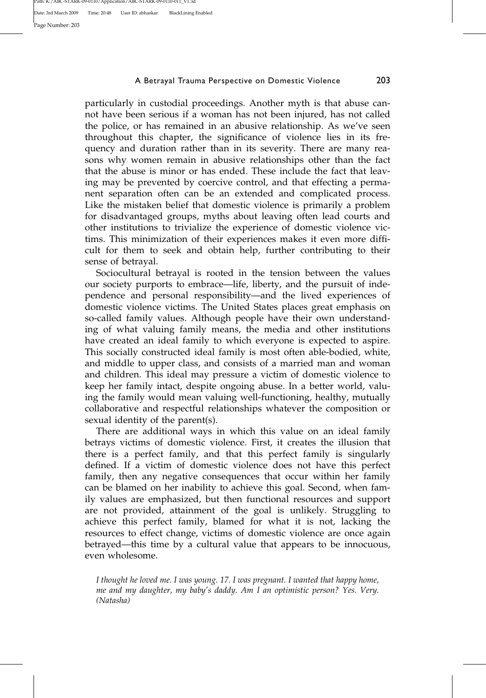particularly in custodial proceedings. Another myth is that abuse cannot have been serious if a woman has not been injured, has not called the police, or has remained in an abusive relationship. As we've seen throughout this chapter, the significance of violence lies in its frequency and duration rather than in its severity. There are many reasons why women remain in abusive relationships other than the fact that the abuse is minor or has ended. These include the fact that leaving may be prevented by coercive control, and that effecting a permanent separation often can be an extended and complicated process. Like the mistaken belief that domestic violence is primarily a problem for disadvantaged groups, myths about leaving often lead courts and other institutions to trivialize the experience of domestic violence victims. This minimization of their experiences makes it even more difficult for them to seek and obtain help, further contributing to their sense of betrayal.

Sociocultural betrayal is rooted in the tension between the values our society purports to embrace—life, liberty, and the pursuit of independence and personal responsibility—and the lived experiences of domestic violence victims. The United States places great emphasis on so-called family values. Although people have their own understanding of what valuing family means, the media and other institutions have created an ideal family to which everyone is expected to aspire. This socially constructed ideal family is most often able-bodied, white, and middle to upper class, and consists of a married man and woman and children. This ideal may pressure a victim of domestic violence to keep her family intact, despite ongoing abuse. In a better world, valuing the family would mean valuing well-functioning, healthy, mutually collaborative and respectful relationships whatever the composition or sexual identity of the parent(s).

There are additional ways in which this value on an ideal family betrays victims of domestic violence. First, it creates the illusion that there is a perfect family, and that this perfect family is singularly defined. If a victim of domestic violence does not have this perfect family, then any negative consequences that occur within her family can be blamed on her inability to achieve this goal. Second, when family values are emphasized, but then functional resources and support are not provided, attainment of the goal is unlikely. Struggling to achieve this perfect family, blamed for what it is not, lacking the resources to effect change, victims of domestic violence are once again betrayed—this time by a cultural value that appears to be innocuous, even wholesome.

I thought he loved me. I was young. 17. I was pregnant. I wanted that happy home, me and my daughter, my baby's daddy. Am I an optimistic person? Yes. Very. (Natasha)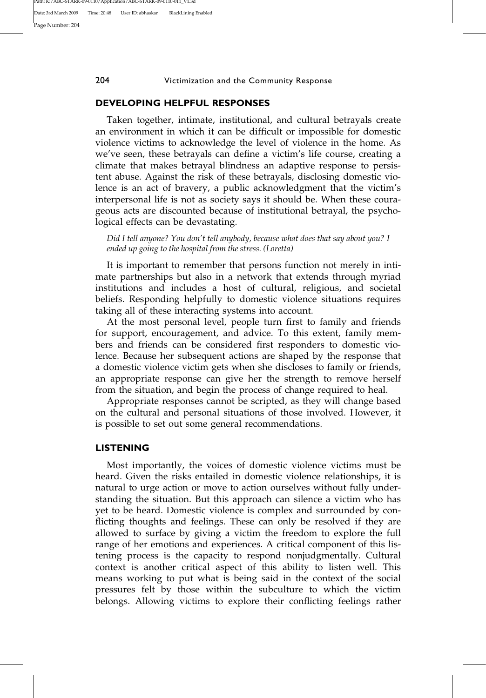204 Victimization and the Community Response

## **DEVELOPING HELPFUL RESPONSES**

Taken together, intimate, institutional, and cultural betrayals create an environment in which it can be difficult or impossible for domestic violence victims to acknowledge the level of violence in the home. As we've seen, these betrayals can define a victim's life course, creating a climate that makes betrayal blindness an adaptive response to persistent abuse. Against the risk of these betrayals, disclosing domestic violence is an act of bravery, a public acknowledgment that the victim's interpersonal life is not as society says it should be. When these courageous acts are discounted because of institutional betrayal, the psychological effects can be devastating.

Did I tell anyone? You don't tell anybody, because what does that say about you? I ended up going to the hospital from the stress. (Loretta)

It is important to remember that persons function not merely in intimate partnerships but also in a network that extends through myriad institutions and includes a host of cultural, religious, and societal beliefs. Responding helpfully to domestic violence situations requires taking all of these interacting systems into account.

At the most personal level, people turn first to family and friends for support, encouragement, and advice. To this extent, family members and friends can be considered first responders to domestic violence. Because her subsequent actions are shaped by the response that a domestic violence victim gets when she discloses to family or friends, an appropriate response can give her the strength to remove herself from the situation, and begin the process of change required to heal.

Appropriate responses cannot be scripted, as they will change based on the cultural and personal situations of those involved. However, it is possible to set out some general recommendations.

#### **LISTENING**

Most importantly, the voices of domestic violence victims must be heard. Given the risks entailed in domestic violence relationships, it is natural to urge action or move to action ourselves without fully understanding the situation. But this approach can silence a victim who has yet to be heard. Domestic violence is complex and surrounded by conflicting thoughts and feelings. These can only be resolved if they are allowed to surface by giving a victim the freedom to explore the full range of her emotions and experiences. A critical component of this listening process is the capacity to respond nonjudgmentally. Cultural context is another critical aspect of this ability to listen well. This means working to put what is being said in the context of the social pressures felt by those within the subculture to which the victim belongs. Allowing victims to explore their conflicting feelings rather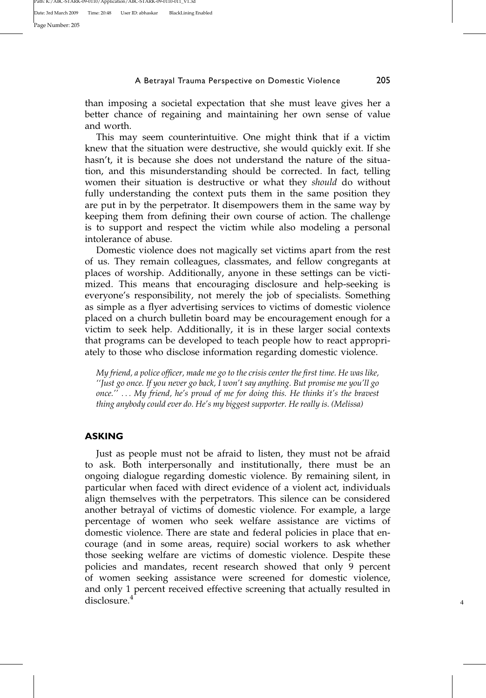Path: K:/ABC-STARK-09-0110/Application/ABC-STARK-09-0110-011\_V1.3d Date: 3rd March 2009 Time: 20:48 User ID: abhaskar BlackLining Enabled

Page Number: 205

than imposing a societal expectation that she must leave gives her a better chance of regaining and maintaining her own sense of value and worth.

This may seem counterintuitive. One might think that if a victim knew that the situation were destructive, she would quickly exit. If she hasn't, it is because she does not understand the nature of the situation, and this misunderstanding should be corrected. In fact, telling women their situation is destructive or what they should do without fully understanding the context puts them in the same position they are put in by the perpetrator. It disempowers them in the same way by keeping them from defining their own course of action. The challenge is to support and respect the victim while also modeling a personal intolerance of abuse.

Domestic violence does not magically set victims apart from the rest of us. They remain colleagues, classmates, and fellow congregants at places of worship. Additionally, anyone in these settings can be victimized. This means that encouraging disclosure and help-seeking is everyone's responsibility, not merely the job of specialists. Something as simple as a flyer advertising services to victims of domestic violence placed on a church bulletin board may be encouragement enough for a victim to seek help. Additionally, it is in these larger social contexts that programs can be developed to teach people how to react appropriately to those who disclose information regarding domestic violence.

My friend, a police officer, made me go to the crisis center the first time. He was like, ''Just go once. If you never go back, I won't say anything. But promise me you'll go once.'' ... My friend, he's proud of me for doing this. He thinks it's the bravest thing anybody could ever do. He's my biggest supporter. He really is. (Melissa)

## **ASKING**

Just as people must not be afraid to listen, they must not be afraid to ask. Both interpersonally and institutionally, there must be an ongoing dialogue regarding domestic violence. By remaining silent, in particular when faced with direct evidence of a violent act, individuals align themselves with the perpetrators. This silence can be considered another betrayal of victims of domestic violence. For example, a large percentage of women who seek welfare assistance are victims of domestic violence. There are state and federal policies in place that encourage (and in some areas, require) social workers to ask whether those seeking welfare are victims of domestic violence. Despite these policies and mandates, recent research showed that only 9 percent of women seeking assistance were screened for domestic violence, and only 1 percent received effective screening that actually resulted in  $\text{disclosure.}^4$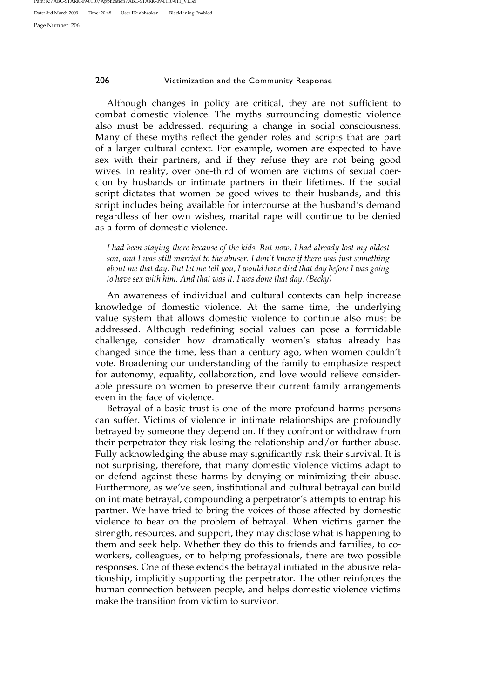## 206 Victimization and the Community Response

Although changes in policy are critical, they are not sufficient to combat domestic violence. The myths surrounding domestic violence also must be addressed, requiring a change in social consciousness. Many of these myths reflect the gender roles and scripts that are part of a larger cultural context. For example, women are expected to have sex with their partners, and if they refuse they are not being good wives. In reality, over one-third of women are victims of sexual coercion by husbands or intimate partners in their lifetimes. If the social script dictates that women be good wives to their husbands, and this script includes being available for intercourse at the husband's demand regardless of her own wishes, marital rape will continue to be denied as a form of domestic violence.

I had been staying there because of the kids. But now, I had already lost my oldest son, and I was still married to the abuser. I don't know if there was just something about me that day. But let me tell you, I would have died that day before I was going to have sex with him. And that was it. I was done that day. (Becky)

An awareness of individual and cultural contexts can help increase knowledge of domestic violence. At the same time, the underlying value system that allows domestic violence to continue also must be addressed. Although redefining social values can pose a formidable challenge, consider how dramatically women's status already has changed since the time, less than a century ago, when women couldn't vote. Broadening our understanding of the family to emphasize respect for autonomy, equality, collaboration, and love would relieve considerable pressure on women to preserve their current family arrangements even in the face of violence.

Betrayal of a basic trust is one of the more profound harms persons can suffer. Victims of violence in intimate relationships are profoundly betrayed by someone they depend on. If they confront or withdraw from their perpetrator they risk losing the relationship and/or further abuse. Fully acknowledging the abuse may significantly risk their survival. It is not surprising, therefore, that many domestic violence victims adapt to or defend against these harms by denying or minimizing their abuse. Furthermore, as we've seen, institutional and cultural betrayal can build on intimate betrayal, compounding a perpetrator's attempts to entrap his partner. We have tried to bring the voices of those affected by domestic violence to bear on the problem of betrayal. When victims garner the strength, resources, and support, they may disclose what is happening to them and seek help. Whether they do this to friends and families, to coworkers, colleagues, or to helping professionals, there are two possible responses. One of these extends the betrayal initiated in the abusive relationship, implicitly supporting the perpetrator. The other reinforces the human connection between people, and helps domestic violence victims make the transition from victim to survivor.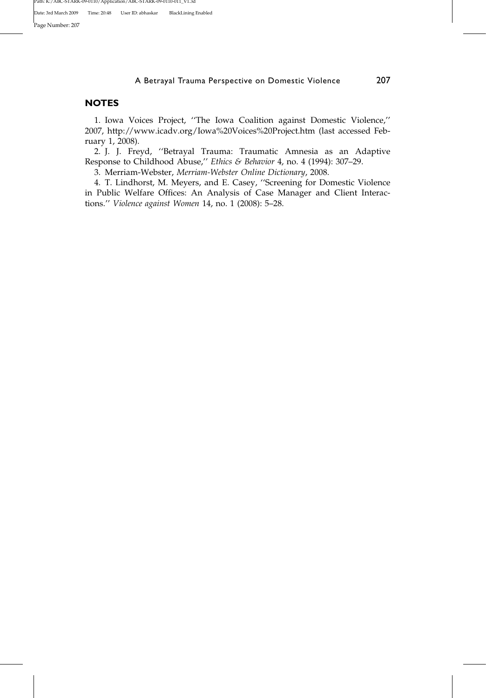Page Number: 207

## A Betrayal Trauma Perspective on Domestic Violence 207

## **NOTES**

1. Iowa Voices Project, ''The Iowa Coalition against Domestic Violence,'' 2007, http://www.icadv.org/Iowa%20Voices%20Project.htm (last accessed February 1, 2008).

2. J. J. Freyd, ''Betrayal Trauma: Traumatic Amnesia as an Adaptive Response to Childhood Abuse,'' Ethics & Behavior 4, no. 4 (1994): 307–29.

3. Merriam-Webster, Merriam-Webster Online Dictionary, 2008.

4. T. Lindhorst, M. Meyers, and E. Casey, ''Screening for Domestic Violence in Public Welfare Offices: An Analysis of Case Manager and Client Interactions.'' Violence against Women 14, no. 1 (2008): 5–28.